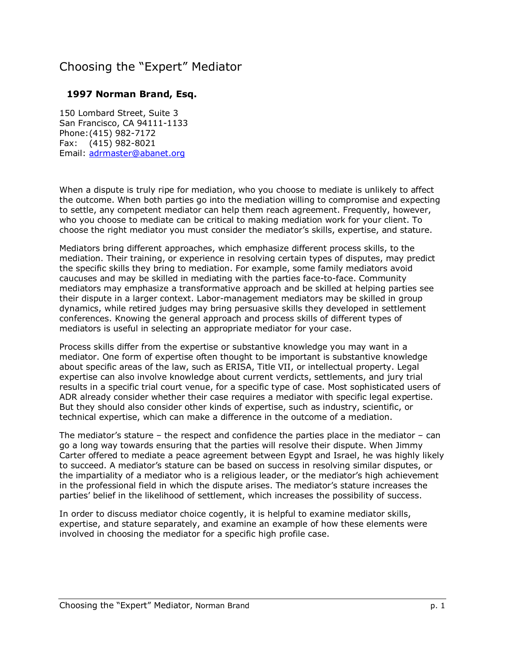# Choosing the "Expert" Mediator

#### **1997 Norman Brand, Esq.**

150 Lombard Street, Suite 3 San Francisco, CA 94111-1133 Phone: (415) 982-7172 Fax: (415) 982-8021 Email: adrmaster@abanet.org

When a dispute is truly ripe for mediation, who you choose to mediate is unlikely to affect the outcome. When both parties go into the mediation willing to compromise and expecting to settle, any competent mediator can help them reach agreement. Frequently, however, who you choose to mediate can be critical to making mediation work for your client. To choose the right mediator you must consider the mediator's skills, expertise, and stature.

Mediators bring different approaches, which emphasize different process skills, to the mediation. Their training, or experience in resolving certain types of disputes, may predict the specific skills they bring to mediation. For example, some family mediators avoid caucuses and may be skilled in mediating with the parties face-to-face. Community mediators may emphasize a transformative approach and be skilled at helping parties see their dispute in a larger context. Labor-management mediators may be skilled in group dynamics, while retired judges may bring persuasive skills they developed in settlement conferences. Knowing the general approach and process skills of different types of mediators is useful in selecting an appropriate mediator for your case.

Process skills differ from the expertise or substantive knowledge you may want in a mediator. One form of expertise often thought to be important is substantive knowledge about specific areas of the law, such as ERISA, Title VII, or intellectual property. Legal expertise can also involve knowledge about current verdicts, settlements, and jury trial results in a specific trial court venue, for a specific type of case. Most sophisticated users of ADR already consider whether their case requires a mediator with specific legal expertise. But they should also consider other kinds of expertise, such as industry, scientific, or technical expertise, which can make a difference in the outcome of a mediation.

The mediator's stature  $-$  the respect and confidence the parties place in the mediator  $-$  can go a long way towards ensuring that the parties will resolve their dispute. When Jimmy Carter offered to mediate a peace agreement between Egypt and Israel, he was highly likely to succeed. A mediatorís stature can be based on success in resolving similar disputes, or the impartiality of a mediator who is a religious leader, or the mediator's high achievement in the professional field in which the dispute arises. The mediator's stature increases the partiesí belief in the likelihood of settlement, which increases the possibility of success.

In order to discuss mediator choice cogently, it is helpful to examine mediator skills, expertise, and stature separately, and examine an example of how these elements were involved in choosing the mediator for a specific high profile case.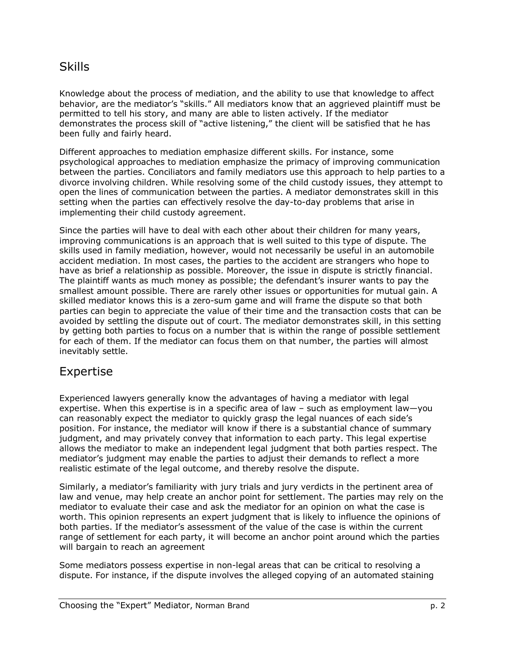### Skills

Knowledge about the process of mediation, and the ability to use that knowledge to affect behavior, are the mediator's "skills." All mediators know that an aggrieved plaintiff must be permitted to tell his story, and many are able to listen actively. If the mediator demonstrates the process skill of "active listening," the client will be satisfied that he has been fully and fairly heard.

Different approaches to mediation emphasize different skills. For instance, some psychological approaches to mediation emphasize the primacy of improving communication between the parties. Conciliators and family mediators use this approach to help parties to a divorce involving children. While resolving some of the child custody issues, they attempt to open the lines of communication between the parties. A mediator demonstrates skill in this setting when the parties can effectively resolve the day-to-day problems that arise in implementing their child custody agreement.

Since the parties will have to deal with each other about their children for many years, improving communications is an approach that is well suited to this type of dispute. The skills used in family mediation, however, would not necessarily be useful in an automobile accident mediation. In most cases, the parties to the accident are strangers who hope to have as brief a relationship as possible. Moreover, the issue in dispute is strictly financial. The plaintiff wants as much money as possible; the defendant's insurer wants to pay the smallest amount possible. There are rarely other issues or opportunities for mutual gain. A skilled mediator knows this is a zero-sum game and will frame the dispute so that both parties can begin to appreciate the value of their time and the transaction costs that can be avoided by settling the dispute out of court. The mediator demonstrates skill, in this setting by getting both parties to focus on a number that is within the range of possible settlement for each of them. If the mediator can focus them on that number, the parties will almost inevitably settle.

### Expertise

Experienced lawyers generally know the advantages of having a mediator with legal expertise. When this expertise is in a specific area of law  $-$  such as employment law $-$ you can reasonably expect the mediator to quickly grasp the legal nuances of each sideís position. For instance, the mediator will know if there is a substantial chance of summary judgment, and may privately convey that information to each party. This legal expertise allows the mediator to make an independent legal judgment that both parties respect. The mediator's judgment may enable the parties to adjust their demands to reflect a more realistic estimate of the legal outcome, and thereby resolve the dispute.

Similarly, a mediator's familiarity with jury trials and jury verdicts in the pertinent area of law and venue, may help create an anchor point for settlement. The parties may rely on the mediator to evaluate their case and ask the mediator for an opinion on what the case is worth. This opinion represents an expert judgment that is likely to influence the opinions of both parties. If the mediator's assessment of the value of the case is within the current range of settlement for each party, it will become an anchor point around which the parties will bargain to reach an agreement

Some mediators possess expertise in non-legal areas that can be critical to resolving a dispute. For instance, if the dispute involves the alleged copying of an automated staining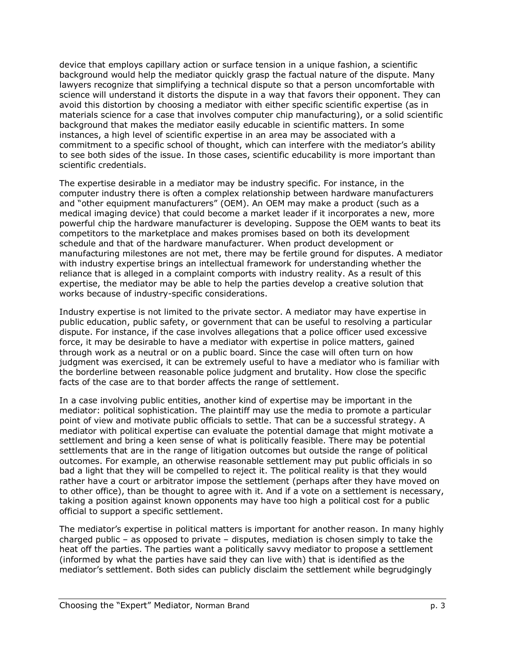device that employs capillary action or surface tension in a unique fashion, a scientific background would help the mediator quickly grasp the factual nature of the dispute. Many lawyers recognize that simplifying a technical dispute so that a person uncomfortable with science will understand it distorts the dispute in a way that favors their opponent. They can avoid this distortion by choosing a mediator with either specific scientific expertise (as in materials science for a case that involves computer chip manufacturing), or a solid scientific background that makes the mediator easily educable in scientific matters. In some instances, a high level of scientific expertise in an area may be associated with a commitment to a specific school of thought, which can interfere with the mediator's ability to see both sides of the issue. In those cases, scientific educability is more important than scientific credentials.

The expertise desirable in a mediator may be industry specific. For instance, in the computer industry there is often a complex relationship between hardware manufacturers and "other equipment manufacturers" (OEM). An OEM may make a product (such as a medical imaging device) that could become a market leader if it incorporates a new, more powerful chip the hardware manufacturer is developing. Suppose the OEM wants to beat its competitors to the marketplace and makes promises based on both its development schedule and that of the hardware manufacturer. When product development or manufacturing milestones are not met, there may be fertile ground for disputes. A mediator with industry expertise brings an intellectual framework for understanding whether the reliance that is alleged in a complaint comports with industry reality. As a result of this expertise, the mediator may be able to help the parties develop a creative solution that works because of industry-specific considerations.

Industry expertise is not limited to the private sector. A mediator may have expertise in public education, public safety, or government that can be useful to resolving a particular dispute. For instance, if the case involves allegations that a police officer used excessive force, it may be desirable to have a mediator with expertise in police matters, gained through work as a neutral or on a public board. Since the case will often turn on how judgment was exercised, it can be extremely useful to have a mediator who is familiar with the borderline between reasonable police judgment and brutality. How close the specific facts of the case are to that border affects the range of settlement.

In a case involving public entities, another kind of expertise may be important in the mediator: political sophistication. The plaintiff may use the media to promote a particular point of view and motivate public officials to settle. That can be a successful strategy. A mediator with political expertise can evaluate the potential damage that might motivate a settlement and bring a keen sense of what is politically feasible. There may be potential settlements that are in the range of litigation outcomes but outside the range of political outcomes. For example, an otherwise reasonable settlement may put public officials in so bad a light that they will be compelled to reject it. The political reality is that they would rather have a court or arbitrator impose the settlement (perhaps after they have moved on to other office), than be thought to agree with it. And if a vote on a settlement is necessary, taking a position against known opponents may have too high a political cost for a public official to support a specific settlement.

The mediator's expertise in political matters is important for another reason. In many highly charged public  $-$  as opposed to private  $-$  disputes, mediation is chosen simply to take the heat off the parties. The parties want a politically savvy mediator to propose a settlement (informed by what the parties have said they can live with) that is identified as the mediatorís settlement. Both sides can publicly disclaim the settlement while begrudgingly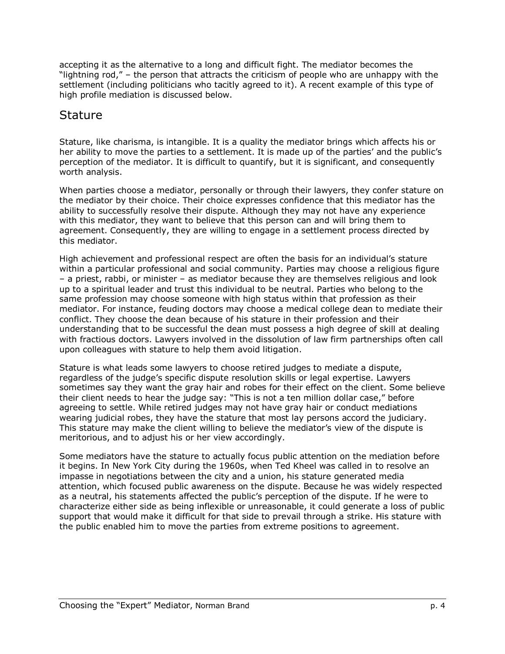accepting it as the alternative to a long and difficult fight. The mediator becomes the "lightning rod,"  $-$  the person that attracts the criticism of people who are unhappy with the settlement (including politicians who tacitly agreed to it). A recent example of this type of high profile mediation is discussed below.

### **Stature**

Stature, like charisma, is intangible. It is a quality the mediator brings which affects his or her ability to move the parties to a settlement. It is made up of the parties' and the public's perception of the mediator. It is difficult to quantify, but it is significant, and consequently worth analysis.

When parties choose a mediator, personally or through their lawyers, they confer stature on the mediator by their choice. Their choice expresses confidence that this mediator has the ability to successfully resolve their dispute. Although they may not have any experience with this mediator, they want to believe that this person can and will bring them to agreement. Consequently, they are willing to engage in a settlement process directed by this mediator.

High achievement and professional respect are often the basis for an individual's stature within a particular professional and social community. Parties may choose a religious figure - a priest, rabbi, or minister - as mediator because they are themselves religious and look up to a spiritual leader and trust this individual to be neutral. Parties who belong to the same profession may choose someone with high status within that profession as their mediator. For instance, feuding doctors may choose a medical college dean to mediate their conflict. They choose the dean because of his stature in their profession and their understanding that to be successful the dean must possess a high degree of skill at dealing with fractious doctors. Lawyers involved in the dissolution of law firm partnerships often call upon colleagues with stature to help them avoid litigation.

Stature is what leads some lawyers to choose retired judges to mediate a dispute, regardless of the judgeís specific dispute resolution skills or legal expertise. Lawyers sometimes say they want the gray hair and robes for their effect on the client. Some believe their client needs to hear the judge say: "This is not a ten million dollar case," before agreeing to settle. While retired judges may not have gray hair or conduct mediations wearing judicial robes, they have the stature that most lay persons accord the judiciary. This stature may make the client willing to believe the mediator's view of the dispute is meritorious, and to adjust his or her view accordingly.

Some mediators have the stature to actually focus public attention on the mediation before it begins. In New York City during the 1960s, when Ted Kheel was called in to resolve an impasse in negotiations between the city and a union, his stature generated media attention, which focused public awareness on the dispute. Because he was widely respected as a neutral, his statements affected the publicís perception of the dispute. If he were to characterize either side as being inflexible or unreasonable, it could generate a loss of public support that would make it difficult for that side to prevail through a strike. His stature with the public enabled him to move the parties from extreme positions to agreement.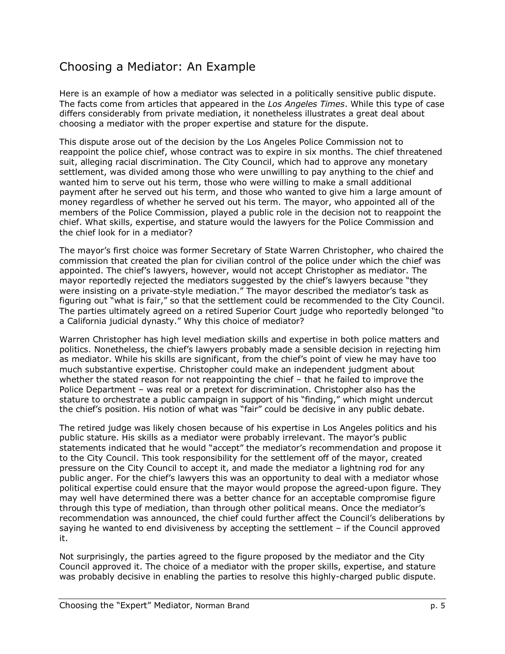# Choosing a Mediator: An Example

Here is an example of how a mediator was selected in a politically sensitive public dispute. The facts come from articles that appeared in the *Los Angeles Times*. While this type of case differs considerably from private mediation, it nonetheless illustrates a great deal about choosing a mediator with the proper expertise and stature for the dispute.

This dispute arose out of the decision by the Los Angeles Police Commission not to reappoint the police chief, whose contract was to expire in six months. The chief threatened suit, alleging racial discrimination. The City Council, which had to approve any monetary settlement, was divided among those who were unwilling to pay anything to the chief and wanted him to serve out his term, those who were willing to make a small additional payment after he served out his term, and those who wanted to give him a large amount of money regardless of whether he served out his term. The mayor, who appointed all of the members of the Police Commission, played a public role in the decision not to reappoint the chief. What skills, expertise, and stature would the lawyers for the Police Commission and the chief look for in a mediator?

The mayorís first choice was former Secretary of State Warren Christopher, who chaired the commission that created the plan for civilian control of the police under which the chief was appointed. The chiefís lawyers, however, would not accept Christopher as mediator. The mayor reportedly rejected the mediators suggested by the chief's lawyers because "they were insisting on a private-style mediation." The mayor described the mediator's task as figuring out "what is fair," so that the settlement could be recommended to the City Council. The parties ultimately agreed on a retired Superior Court judge who reportedly belonged "to a California judicial dynasty." Why this choice of mediator?

Warren Christopher has high level mediation skills and expertise in both police matters and politics. Nonetheless, the chief's lawyers probably made a sensible decision in rejecting him as mediator. While his skills are significant, from the chiefís point of view he may have too much substantive expertise. Christopher could make an independent judgment about whether the stated reason for not reappointing the chief  $-$  that he failed to improve the Police Department – was real or a pretext for discrimination. Christopher also has the stature to orchestrate a public campaign in support of his "finding," which might undercut the chief's position. His notion of what was "fair" could be decisive in any public debate.

The retired judge was likely chosen because of his expertise in Los Angeles politics and his public stature. His skills as a mediator were probably irrelevant. The mayorís public statements indicated that he would "accept" the mediator's recommendation and propose it to the City Council. This took responsibility for the settlement off of the mayor, created pressure on the City Council to accept it, and made the mediator a lightning rod for any public anger. For the chiefís lawyers this was an opportunity to deal with a mediator whose political expertise could ensure that the mayor would propose the agreed-upon figure. They may well have determined there was a better chance for an acceptable compromise figure through this type of mediation, than through other political means. Once the mediatorís recommendation was announced, the chief could further affect the Council's deliberations by saying he wanted to end divisiveness by accepting the settlement  $-$  if the Council approved it.

Not surprisingly, the parties agreed to the figure proposed by the mediator and the City Council approved it. The choice of a mediator with the proper skills, expertise, and stature was probably decisive in enabling the parties to resolve this highly-charged public dispute.